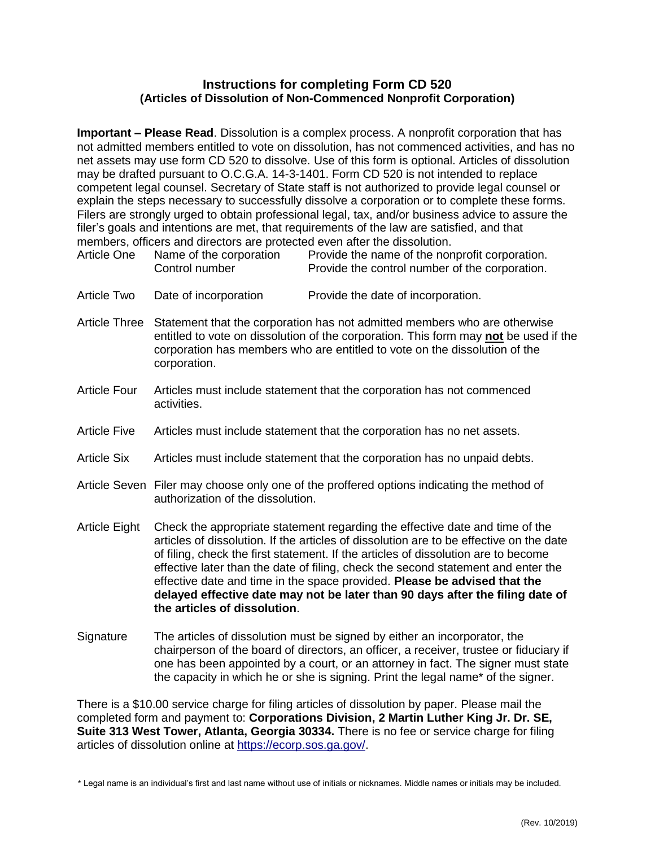## **Instructions for completing Form CD 520 (Articles of Dissolution of Non-Commenced Nonprofit Corporation)**

**Important – Please Read**. Dissolution is a complex process. A nonprofit corporation that has not admitted members entitled to vote on dissolution, has not commenced activities, and has no net assets may use form CD 520 to dissolve. Use of this form is optional. Articles of dissolution may be drafted pursuant to O.C.G.A. 14-3-1401. Form CD 520 is not intended to replace competent legal counsel. Secretary of State staff is not authorized to provide legal counsel or explain the steps necessary to successfully dissolve a corporation or to complete these forms. Filers are strongly urged to obtain professional legal, tax, and/or business advice to assure the filer's goals and intentions are met, that requirements of the law are satisfied, and that members, officers and directors are protected even after the dissolution.

| <b>Article One</b>   | Name of the corporation<br>Control number                                                                                                                                                                                                                                                                                                                                                                                                                                                                                                        | Provide the name of the nonprofit corporation.<br>Provide the control number of the corporation. |
|----------------------|--------------------------------------------------------------------------------------------------------------------------------------------------------------------------------------------------------------------------------------------------------------------------------------------------------------------------------------------------------------------------------------------------------------------------------------------------------------------------------------------------------------------------------------------------|--------------------------------------------------------------------------------------------------|
| <b>Article Two</b>   | Date of incorporation                                                                                                                                                                                                                                                                                                                                                                                                                                                                                                                            | Provide the date of incorporation.                                                               |
| <b>Article Three</b> | Statement that the corporation has not admitted members who are otherwise<br>entitled to vote on dissolution of the corporation. This form may not be used if the<br>corporation has members who are entitled to vote on the dissolution of the<br>corporation.                                                                                                                                                                                                                                                                                  |                                                                                                  |
| Article Four         | Articles must include statement that the corporation has not commenced<br>activities.                                                                                                                                                                                                                                                                                                                                                                                                                                                            |                                                                                                  |
| <b>Article Five</b>  | Articles must include statement that the corporation has no net assets.                                                                                                                                                                                                                                                                                                                                                                                                                                                                          |                                                                                                  |
| <b>Article Six</b>   | Articles must include statement that the corporation has no unpaid debts.                                                                                                                                                                                                                                                                                                                                                                                                                                                                        |                                                                                                  |
|                      | Article Seven Filer may choose only one of the proffered options indicating the method of<br>authorization of the dissolution.                                                                                                                                                                                                                                                                                                                                                                                                                   |                                                                                                  |
| <b>Article Eight</b> | Check the appropriate statement regarding the effective date and time of the<br>articles of dissolution. If the articles of dissolution are to be effective on the date<br>of filing, check the first statement. If the articles of dissolution are to become<br>effective later than the date of filing, check the second statement and enter the<br>effective date and time in the space provided. Please be advised that the<br>delayed effective date may not be later than 90 days after the filing date of<br>the articles of dissolution. |                                                                                                  |
| Signature            | The articles of dissolution must be signed by either an incorporator, the<br>chairperson of the board of directors, an officer, a receiver, trustee or fiduciary if<br>one has been appointed by a court, or an attorney in fact. The signer must state<br>the capacity in which he or she is signing. Print the legal name* of the signer.                                                                                                                                                                                                      |                                                                                                  |

There is a \$10.00 service charge for filing articles of dissolution by paper. Please mail the completed form and payment to: **Corporations Division, 2 Martin Luther King Jr. Dr. SE, Suite 313 West Tower, Atlanta, Georgia 30334.** There is no fee or service charge for filing articles of dissolution online at [https://ecorp.sos.ga.gov/.](https://ecorp.sos.ga.gov/)

\* Legal name is an individual's first and last name without use of initials or nicknames. Middle names or initials may be included.